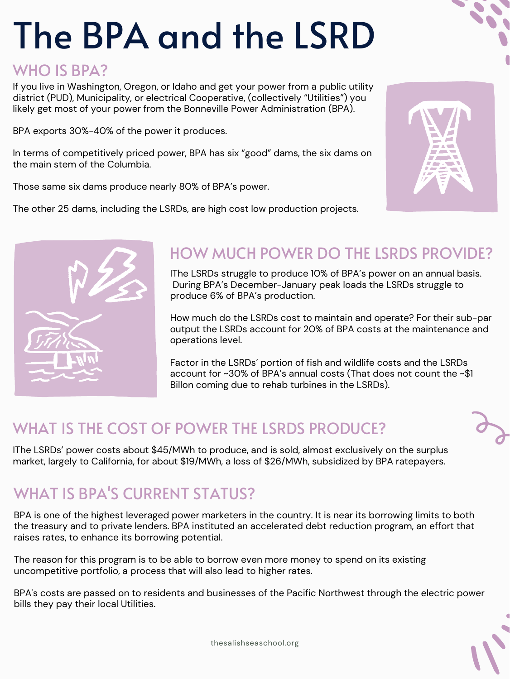# The BPA and the LSRD

#### WHO IS BPA?

If you live in Washington, Oregon, or Idaho and get your power from a public utility district (PUD), Municipality, or electrical Cooperative, (collectively "Utilities") you likely get most of your power from the Bonneville Power Administration (BPA).

BPA exports 30%-40% of the power it produces.

In terms of competitively priced power, BPA has six "good" dams, the six dams on the main stem of the Columbia.

Those same six dams produce nearly 80% of BPA's power.

The other 25 dams, including the LSRDs, are high cost low production projects.





#### HOW MUCH POWER DO THE LSRDS PROVIDE?

IThe LSRDs struggle to produce 10% of BPA's power on an annual basis. During BPA's December-January peak loads the LSRDs struggle to produce 6% of BPA's production.

How much do the LSRDs cost to maintain and operate? For their sub-par output the LSRDs account for 20% of BPA costs at the maintenance and operations level.

Factor in the LSRDs' portion of fish and wildlife costs and the LSRDs account for ~30% of BPA's annual costs (That does not count the ~\$1 Billon coming due to rehab turbines in the LSRDs).

## WHAT IS THE COST OF POWER THE LSRDS PRODUCE?

IThe LSRDs' power costs about \$45/MWh to produce, and is sold, almost exclusively on the surplus market, largely to California, for about \$19/MWh, a loss of \$26/MWh, subsidized by BPA ratepayers.

## WHAT IS BPA'S CURRENT STATUS?

BPA is one of the highest leveraged power marketers in the country. It is near its borrowing limits to both the treasury and to private lenders. BPA instituted an accelerated debt reduction program, an effort that raises rates, to enhance its borrowing potential.

The reason for this program is to be able to borrow even more money to spend on its existing uncompetitive portfolio, a process that will also lead to higher rates.

BPA' s costs are passed on to residents and businesses of the Pacific Northwest through the electric power bills they pay their local Utilities.